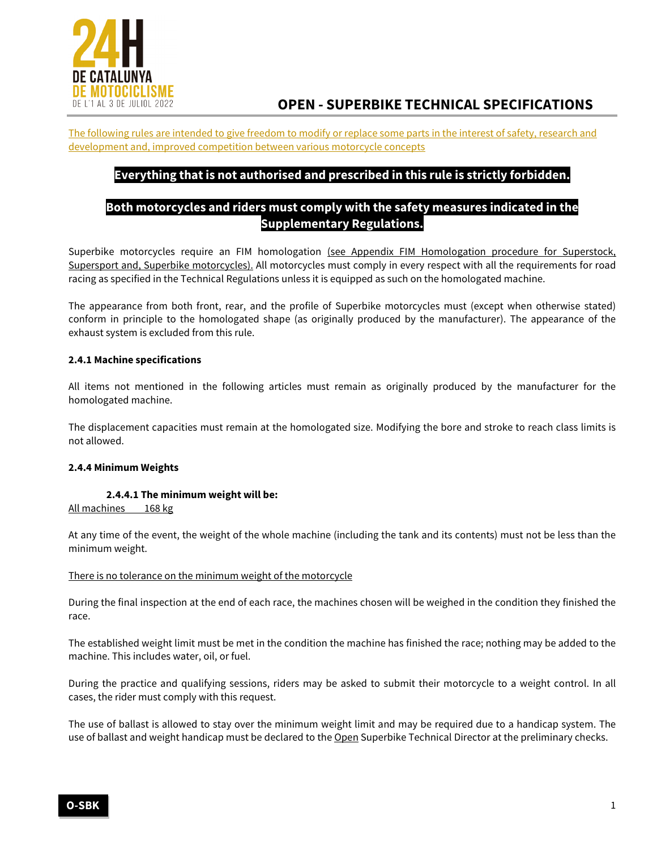

The following rules are intended to give freedom to modify or replace some parts in the interest of safety, research and development and, improved competition between various motorcycle concepts

# **Everything that is not authorised and prescribed in this rule is strictly forbidden.**

# **Both motorcycles and riders must comply with the safety measures indicated in the Supplementary Regulations.**

Superbike motorcycles require an FIM homologation (see Appendix FIM Homologation procedure for Superstock, Supersport and, Superbike motorcycles). All motorcycles must comply in every respect with all the requirements for road racing as specified in the Technical Regulations unless it is equipped as such on the homologated machine.

The appearance from both front, rear, and the profile of Superbike motorcycles must (except when otherwise stated) conform in principle to the homologated shape (as originally produced by the manufacturer). The appearance of the exhaust system is excluded from this rule.

# **2.4.1 Machine specifications**

All items not mentioned in the following articles must remain as originally produced by the manufacturer for the homologated machine.

The displacement capacities must remain at the homologated size. Modifying the bore and stroke to reach class limits is not allowed.

### **2.4.4 Minimum Weights**

### **2.4.4.1 The minimum weight will be:**

All machines 168 kg

At any time of the event, the weight of the whole machine (including the tank and its contents) must not be less than the minimum weight.

### There is no tolerance on the minimum weight of the motorcycle

During the final inspection at the end of each race, the machines chosen will be weighed in the condition they finished the race.

The established weight limit must be met in the condition the machine has finished the race; nothing may be added to the machine. This includes water, oil, or fuel.

During the practice and qualifying sessions, riders may be asked to submit their motorcycle to a weight control. In all cases, the rider must comply with this request.

The use of ballast is allowed to stay over the minimum weight limit and may be required due to a handicap system. The use of ballast and weight handicap must be declared to the Open Superbike Technical Director at the preliminary checks.

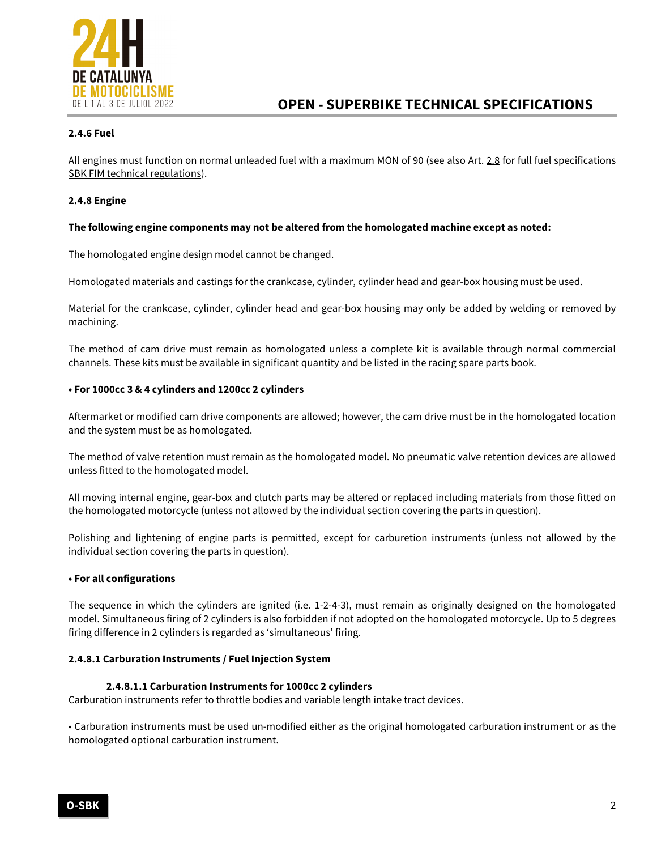

# **2.4.6 Fuel**

All engines must function on normal unleaded fuel with a maximum MON of 90 (see also Art. 2.8 for full fuel specifications SBK FIM technical regulations).

# **2.4.8 Engine**

# **The following engine components may not be altered from the homologated machine except as noted:**

The homologated engine design model cannot be changed.

Homologated materials and castings for the crankcase, cylinder, cylinder head and gear-box housing must be used.

Material for the crankcase, cylinder, cylinder head and gear-box housing may only be added by welding or removed by machining.

The method of cam drive must remain as homologated unless a complete kit is available through normal commercial channels. These kits must be available in significant quantity and be listed in the racing spare parts book.

### **• For 1000cc 3 & 4 cylinders and 1200cc 2 cylinders**

Aftermarket or modified cam drive components are allowed; however, the cam drive must be in the homologated location and the system must be as homologated.

The method of valve retention must remain as the homologated model. No pneumatic valve retention devices are allowed unless fitted to the homologated model.

All moving internal engine, gear-box and clutch parts may be altered or replaced including materials from those fitted on the homologated motorcycle (unless not allowed by the individual section covering the parts in question).

Polishing and lightening of engine parts is permitted, except for carburetion instruments (unless not allowed by the individual section covering the parts in question).

### **• For all configurations**

The sequence in which the cylinders are ignited (i.e. 1-2-4-3), must remain as originally designed on the homologated model. Simultaneous firing of 2 cylinders is also forbidden if not adopted on the homologated motorcycle. Up to 5 degrees firing difference in 2 cylinders is regarded as 'simultaneous' firing.

### **2.4.8.1 Carburation Instruments / Fuel Injection System**

### **2.4.8.1.1 Carburation Instruments for 1000cc 2 cylinders**

Carburation instruments refer to throttle bodies and variable length intake tract devices.

• Carburation instruments must be used un-modified either as the original homologated carburation instrument or as the homologated optional carburation instrument.

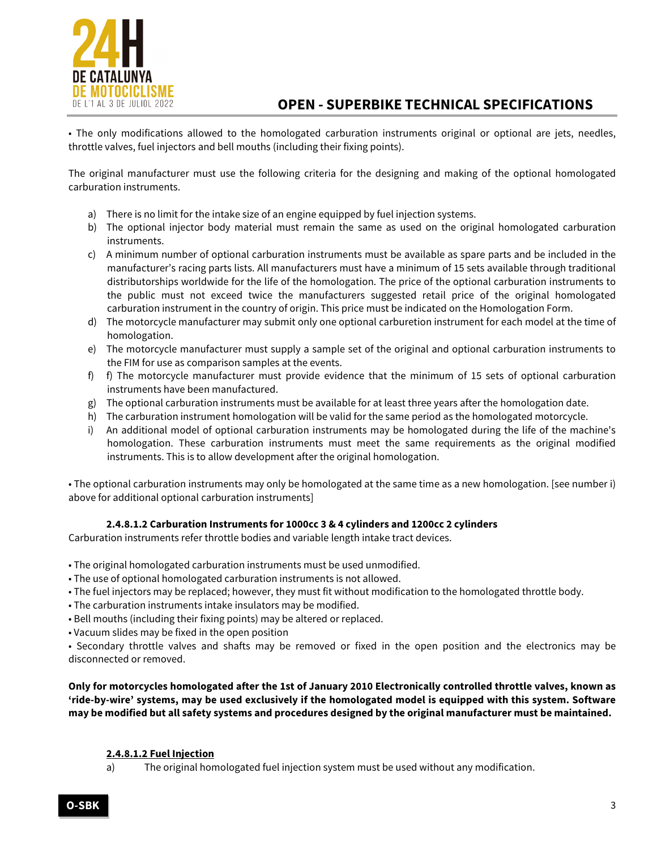

• The only modifications allowed to the homologated carburation instruments original or optional are jets, needles, throttle valves, fuel injectors and bell mouths (including their fixing points).

The original manufacturer must use the following criteria for the designing and making of the optional homologated carburation instruments.

- a) There is no limit for the intake size of an engine equipped by fuel injection systems.
- b) The optional injector body material must remain the same as used on the original homologated carburation instruments.
- c) A minimum number of optional carburation instruments must be available as spare parts and be included in the manufacturer's racing parts lists. All manufacturers must have a minimum of 15 sets available through traditional distributorships worldwide for the life of the homologation. The price of the optional carburation instruments to the public must not exceed twice the manufacturers suggested retail price of the original homologated carburation instrument in the country of origin. This price must be indicated on the Homologation Form.
- d) The motorcycle manufacturer may submit only one optional carburetion instrument for each model at the time of homologation.
- e) The motorcycle manufacturer must supply a sample set of the original and optional carburation instruments to the FIM for use as comparison samples at the events.
- f) f) The motorcycle manufacturer must provide evidence that the minimum of 15 sets of optional carburation instruments have been manufactured.
- g) The optional carburation instruments must be available for at least three years after the homologation date.
- h) The carburation instrument homologation will be valid for the same period as the homologated motorcycle.
- i) An additional model of optional carburation instruments may be homologated during the life of the machine's homologation. These carburation instruments must meet the same requirements as the original modified instruments. This is to allow development after the original homologation.

• The optional carburation instruments may only be homologated at the same time as a new homologation. [see number i) above for additional optional carburation instruments]

# **2.4.8.1.2 Carburation Instruments for 1000cc 3 & 4 cylinders and 1200cc 2 cylinders**

Carburation instruments refer throttle bodies and variable length intake tract devices.

- The original homologated carburation instruments must be used unmodified.
- The use of optional homologated carburation instruments is not allowed.
- The fuel injectors may be replaced; however, they must fit without modification to the homologated throttle body.
- The carburation instruments intake insulators may be modified.
- Bell mouths (including their fixing points) may be altered or replaced.
- Vacuum slides may be fixed in the open position

• Secondary throttle valves and shafts may be removed or fixed in the open position and the electronics may be disconnected or removed.

**Only for motorcycles homologated after the 1st of January 2010 Electronically controlled throttle valves, known as 'ride-by-wire' systems, may be used exclusively if the homologated model is equipped with this system. Software may be modified but all safety systems and procedures designed by the original manufacturer must be maintained.**

### **2.4.8.1.2 Fuel Injection**

a) The original homologated fuel injection system must be used without any modification.

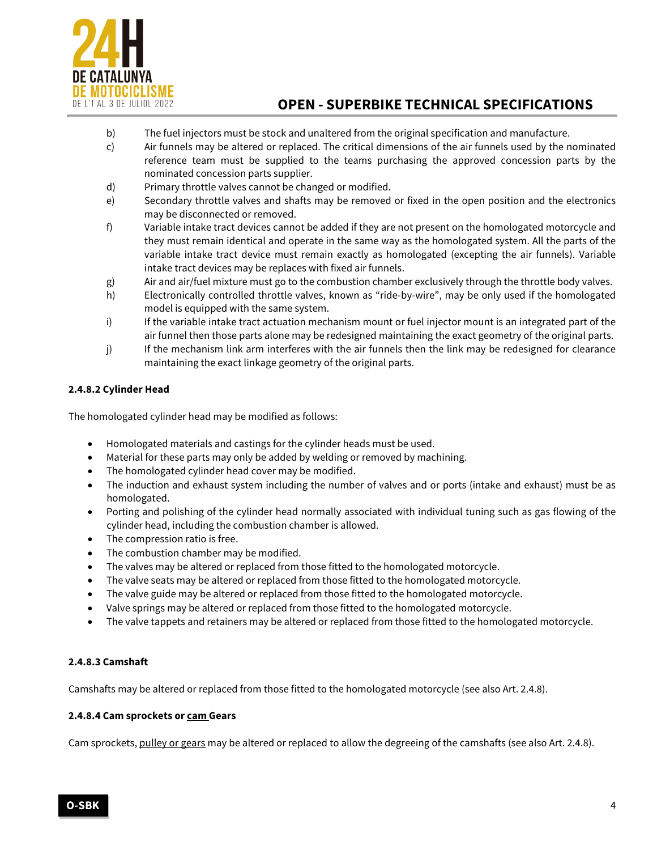

- b) The fuel injectors must be stock and unaltered from the original specification and manufacture.
- c) Air funnels may be altered or replaced. The critical dimensions of the air funnels used by the nominated reference team must be supplied to the teams purchasing the approved concession parts by the nominated concession parts supplier.
- d) Primary throttle valves cannot be changed or modified.
- e) Secondary throttle valves and shafts may be removed or fixed in the open position and the electronics may be disconnected or removed.
- f) Variable intake tract devices cannot be added if they are not present on the homologated motorcycle and they must remain identical and operate in the same way as the homologated system. All the parts of the variable intake tract device must remain exactly as homologated (excepting the air funnels). Variable intake tract devices may be replaces with fixed air funnels.
- g) Air and air/fuel mixture must go to the combustion chamber exclusively through the throttle body valves.
- h) Electronically controlled throttle valves, known as "ride-by-wire", may be only used if the homologated model is equipped with the same system.
- i) If the variable intake tract actuation mechanism mount or fuel injector mount is an integrated part of the air funnel then those parts alone may be redesigned maintaining the exact geometry of the original parts.
- j) If the mechanism link arm interferes with the air funnels then the link may be redesigned for clearance maintaining the exact linkage geometry of the original parts.

# **2.4.8.2 Cylinder Head**

The homologated cylinder head may be modified as follows:

- Homologated materials and castings for the cylinder heads must be used.
- Material for these parts may only be added by welding or removed by machining.
- The homologated cylinder head cover may be modified.
- The induction and exhaust system including the number of valves and or ports (intake and exhaust) must be as homologated.
- Porting and polishing of the cylinder head normally associated with individual tuning such as gas flowing of the cylinder head, including the combustion chamber is allowed.
- The compression ratio is free.
- The combustion chamber may be modified.
- The valves may be altered or replaced from those fitted to the homologated motorcycle.
- The valve seats may be altered or replaced from those fitted to the homologated motorcycle.
- The valve guide may be altered or replaced from those fitted to the homologated motorcycle.
- Valve springs may be altered or replaced from those fitted to the homologated motorcycle.
- The valve tappets and retainers may be altered or replaced from those fitted to the homologated motorcycle.

# **2.4.8.3 Camshaft**

Camshafts may be altered or replaced from those fitted to the homologated motorcycle (see also Art. 2.4.8).

### **2.4.8.4 Cam sprockets or cam Gears**

Cam sprockets, pulley or gears may be altered or replaced to allow the degreeing of the camshafts (see also Art. 2.4.8).

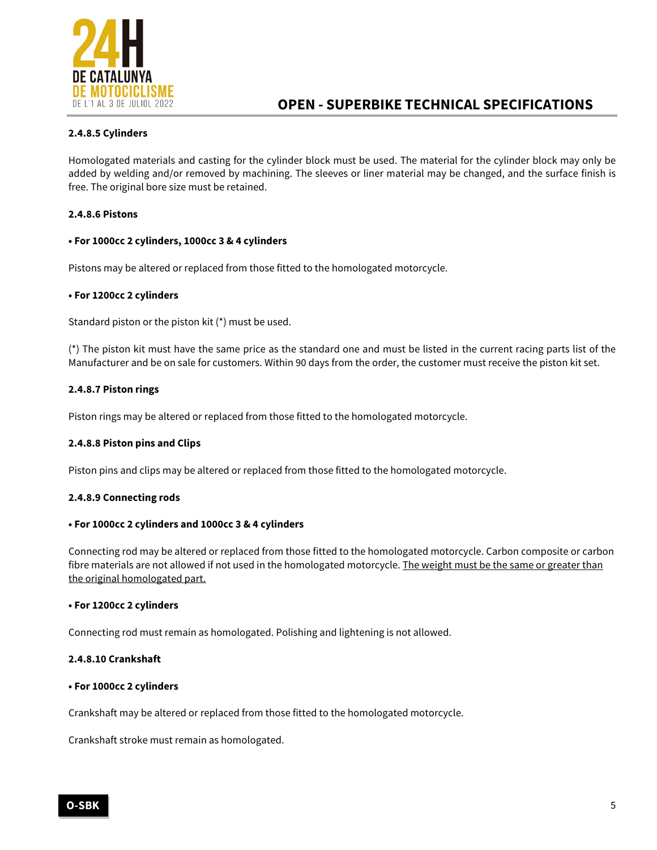

# **2.4.8.5 Cylinders**

Homologated materials and casting for the cylinder block must be used. The material for the cylinder block may only be added by welding and/or removed by machining. The sleeves or liner material may be changed, and the surface finish is free. The original bore size must be retained.

## **2.4.8.6 Pistons**

### **• For 1000cc 2 cylinders, 1000cc 3 & 4 cylinders**

Pistons may be altered or replaced from those fitted to the homologated motorcycle.

### **• For 1200cc 2 cylinders**

Standard piston or the piston kit (\*) must be used.

(\*) The piston kit must have the same price as the standard one and must be listed in the current racing parts list of the Manufacturer and be on sale for customers. Within 90 days from the order, the customer must receive the piston kit set.

# **2.4.8.7 Piston rings**

Piston rings may be altered or replaced from those fitted to the homologated motorcycle.

### **2.4.8.8 Piston pins and Clips**

Piston pins and clips may be altered or replaced from those fitted to the homologated motorcycle.

### **2.4.8.9 Connecting rods**

### **• For 1000cc 2 cylinders and 1000cc 3 & 4 cylinders**

Connecting rod may be altered or replaced from those fitted to the homologated motorcycle. Carbon composite or carbon fibre materials are not allowed if not used in the homologated motorcycle. The weight must be the same or greater than the original homologated part.

### **• For 1200cc 2 cylinders**

Connecting rod must remain as homologated. Polishing and lightening is not allowed.

### **2.4.8.10 Crankshaft**

#### **• For 1000cc 2 cylinders**

Crankshaft may be altered or replaced from those fitted to the homologated motorcycle.

Crankshaft stroke must remain as homologated.

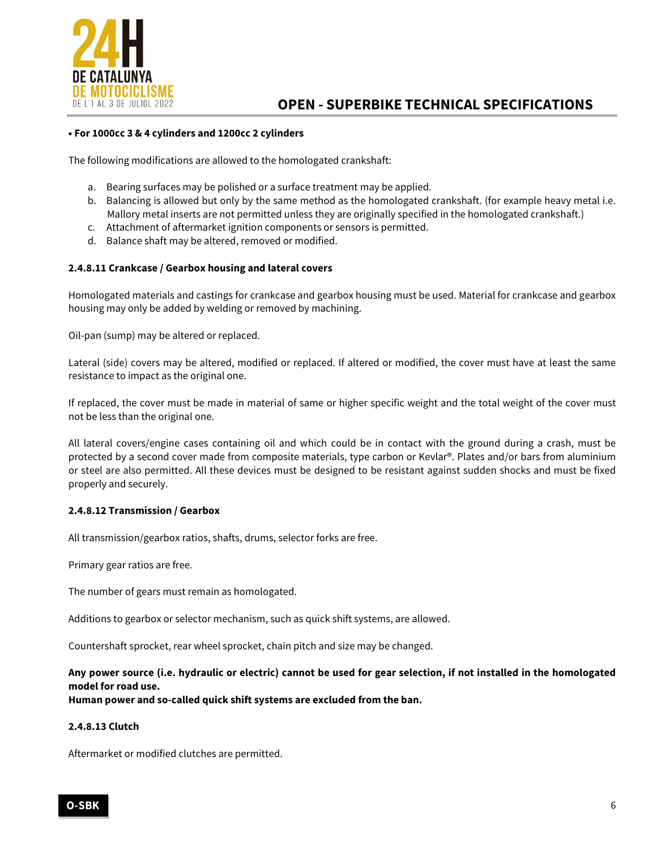

## **• For 1000cc 3 & 4 cylinders and 1200cc 2 cylinders**

The following modifications are allowed to the homologated crankshaft:

- a. Bearing surfaces may be polished or a surface treatment may be applied.
- b. Balancing is allowed but only by the same method as the homologated crankshaft. (for example heavy metal i.e. Mallory metal inserts are not permitted unless they are originally specified in the homologated crankshaft.)
- c. Attachment of aftermarket ignition components or sensors is permitted.
- d. Balance shaft may be altered, removed or modified.

# **2.4.8.11 Crankcase / Gearbox housing and lateral covers**

Homologated materials and castings for crankcase and gearbox housing must be used. Material for crankcase and gearbox housing may only be added by welding or removed by machining.

Oil-pan (sump) may be altered or replaced.

Lateral (side) covers may be altered, modified or replaced. If altered or modified, the cover must have at least the same resistance to impact as the original one.

If replaced, the cover must be made in material of same or higher specific weight and the total weight of the cover must not be less than the original one.

All lateral covers/engine cases containing oil and which could be in contact with the ground during a crash, must be protected by a second cover made from composite materials, type carbon or Kevlar®. Plates and/or bars from aluminium or steel are also permitted. All these devices must be designed to be resistant against sudden shocks and must be fixed properly and securely.

### **2.4.8.12 Transmission / Gearbox**

All transmission/gearbox ratios, shafts, drums, selector forks are free.

Primary gear ratios are free.

The number of gears must remain as homologated.

Additions to gearbox or selector mechanism, such as quick shift systems, are allowed.

Countershaft sprocket, rear wheel sprocket, chain pitch and size may be changed.

# **Any power source (i.e. hydraulic or electric) cannot be used for gear selection, if not installed in the homologated model for road use.**

**Human power and so-called quick shift systems are excluded from the ban.**

# **2.4.8.13 Clutch**

Aftermarket or modified clutches are permitted.

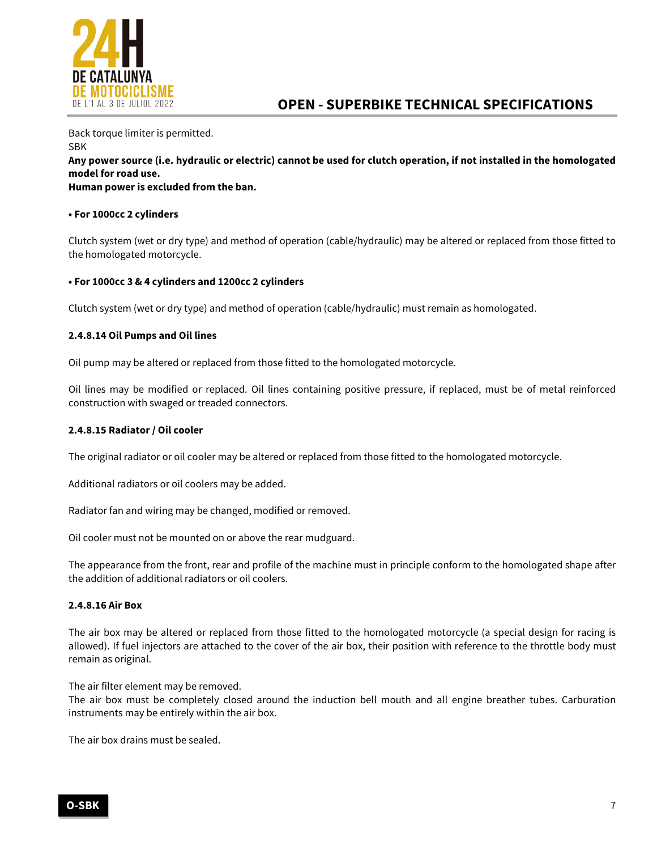

Back torque limiter is permitted. SBK **Any power source (i.e. hydraulic or electric) cannot be used for clutch operation, if not installed in the homologated model for road use. Human power is excluded from the ban.**

# **• For 1000cc 2 cylinders**

Clutch system (wet or dry type) and method of operation (cable/hydraulic) may be altered or replaced from those fitted to the homologated motorcycle.

# **• For 1000cc 3 & 4 cylinders and 1200cc 2 cylinders**

Clutch system (wet or dry type) and method of operation (cable/hydraulic) must remain as homologated.

# **2.4.8.14 Oil Pumps and Oil lines**

Oil pump may be altered or replaced from those fitted to the homologated motorcycle.

Oil lines may be modified or replaced. Oil lines containing positive pressure, if replaced, must be of metal reinforced construction with swaged or treaded connectors.

### **2.4.8.15 Radiator / Oil cooler**

The original radiator or oil cooler may be altered or replaced from those fitted to the homologated motorcycle.

Additional radiators or oil coolers may be added.

Radiator fan and wiring may be changed, modified or removed.

Oil cooler must not be mounted on or above the rear mudguard.

The appearance from the front, rear and profile of the machine must in principle conform to the homologated shape after the addition of additional radiators or oil coolers.

### **2.4.8.16 Air Box**

The air box may be altered or replaced from those fitted to the homologated motorcycle (a special design for racing is allowed). If fuel injectors are attached to the cover of the air box, their position with reference to the throttle body must remain as original.

The air filter element may be removed.

The air box must be completely closed around the induction bell mouth and all engine breather tubes. Carburation instruments may be entirely within the air box.

The air box drains must be sealed.

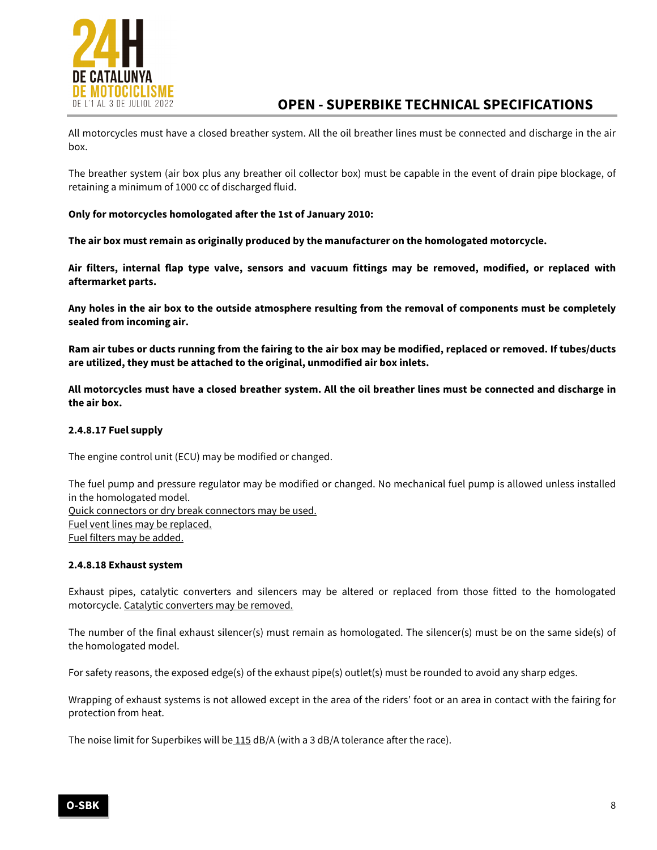

All motorcycles must have a closed breather system. All the oil breather lines must be connected and discharge in the air box.

The breather system (air box plus any breather oil collector box) must be capable in the event of drain pipe blockage, of retaining a minimum of 1000 cc of discharged fluid.

# **Only for motorcycles homologated after the 1st of January 2010:**

**The air box must remain as originally produced by the manufacturer on the homologated motorcycle.**

**Air filters, internal flap type valve, sensors and vacuum fittings may be removed, modified, or replaced with aftermarket parts.**

**Any holes in the air box to the outside atmosphere resulting from the removal of components must be completely sealed from incoming air.**

**Ram air tubes or ducts running from the fairing to the air box may be modified, replaced or removed. If tubes/ducts are utilized, they must be attached to the original, unmodified air box inlets.**

**All motorcycles must have a closed breather system. All the oil breather lines must be connected and discharge in the air box.**

## **2.4.8.17 Fuel supply**

The engine control unit (ECU) may be modified or changed.

The fuel pump and pressure regulator may be modified or changed. No mechanical fuel pump is allowed unless installed in the homologated model. Quick connectors or dry break connectors may be used. Fuel vent lines may be replaced. Fuel filters may be added.

### **2.4.8.18 Exhaust system**

Exhaust pipes, catalytic converters and silencers may be altered or replaced from those fitted to the homologated motorcycle. Catalytic converters may be removed.

The number of the final exhaust silencer(s) must remain as homologated. The silencer(s) must be on the same side(s) of the homologated model.

For safety reasons, the exposed edge(s) of the exhaust pipe(s) outlet(s) must be rounded to avoid any sharp edges.

Wrapping of exhaust systems is not allowed except in the area of the riders' foot or an area in contact with the fairing for protection from heat.

The noise limit for Superbikes will be 115 dB/A (with a 3 dB/A tolerance after the race).

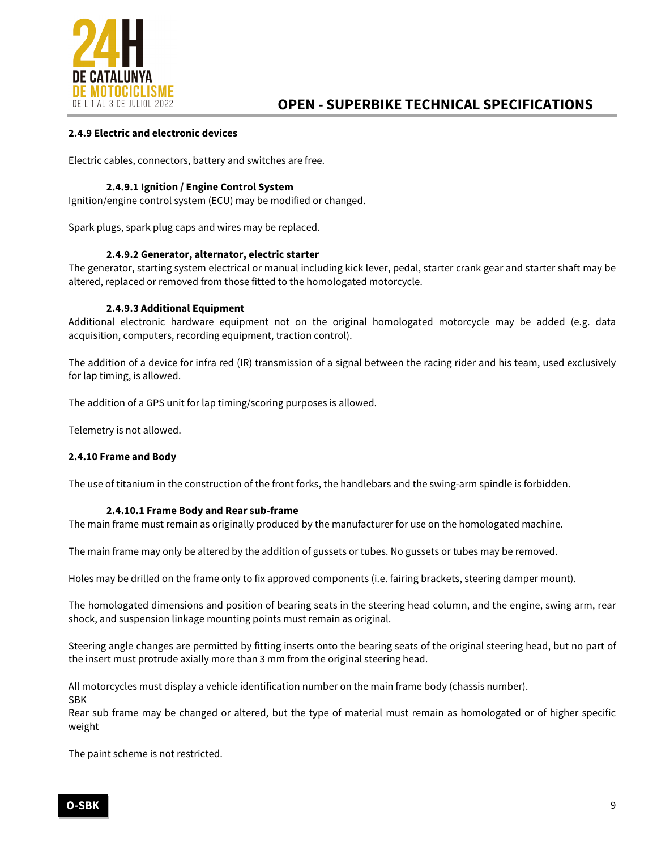

# **2.4.9 Electric and electronic devices**

Electric cables, connectors, battery and switches are free.

## **2.4.9.1 Ignition / Engine Control System**

Ignition/engine control system (ECU) may be modified or changed.

Spark plugs, spark plug caps and wires may be replaced.

# **2.4.9.2 Generator, alternator, electric starter**

The generator, starting system electrical or manual including kick lever, pedal, starter crank gear and starter shaft may be altered, replaced or removed from those fitted to the homologated motorcycle.

### **2.4.9.3 Additional Equipment**

Additional electronic hardware equipment not on the original homologated motorcycle may be added (e.g. data acquisition, computers, recording equipment, traction control).

The addition of a device for infra red (IR) transmission of a signal between the racing rider and his team, used exclusively for lap timing, is allowed.

The addition of a GPS unit for lap timing/scoring purposes is allowed.

Telemetry is not allowed.

### **2.4.10 Frame and Body**

The use of titanium in the construction of the front forks, the handlebars and the swing-arm spindle is forbidden.

### **2.4.10.1 Frame Body and Rear sub-frame**

The main frame must remain as originally produced by the manufacturer for use on the homologated machine.

The main frame may only be altered by the addition of gussets or tubes. No gussets or tubes may be removed.

Holes may be drilled on the frame only to fix approved components (i.e. fairing brackets, steering damper mount).

The homologated dimensions and position of bearing seats in the steering head column, and the engine, swing arm, rear shock, and suspension linkage mounting points must remain as original.

Steering angle changes are permitted by fitting inserts onto the bearing seats of the original steering head, but no part of the insert must protrude axially more than 3 mm from the original steering head.

All motorcycles must display a vehicle identification number on the main frame body (chassis number). SBK

Rear sub frame may be changed or altered, but the type of material must remain as homologated or of higher specific weight

The paint scheme is not restricted.

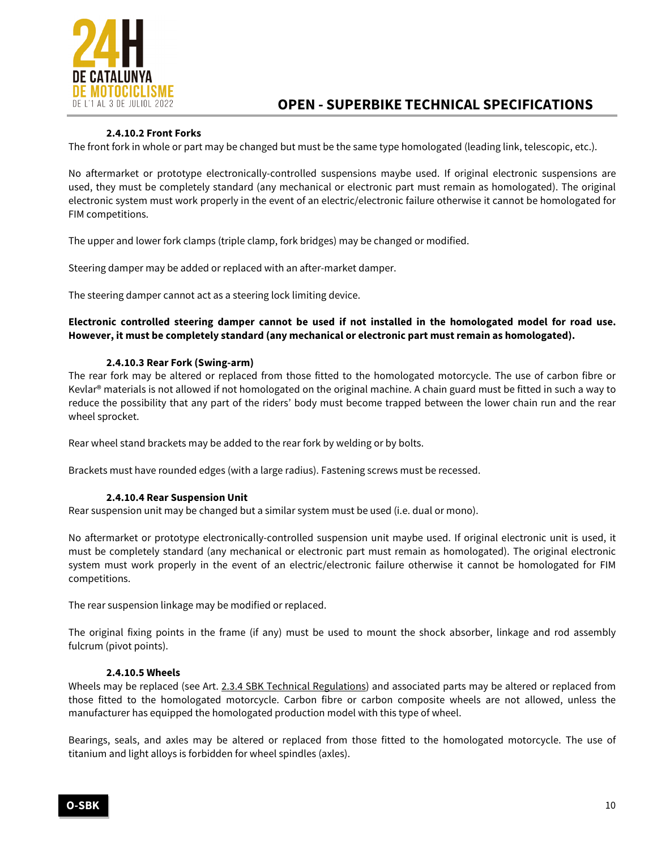

# **2.4.10.2 Front Forks**

The front fork in whole or part may be changed but must be the same type homologated (leading link, telescopic, etc.).

No aftermarket or prototype electronically-controlled suspensions maybe used. If original electronic suspensions are used, they must be completely standard (any mechanical or electronic part must remain as homologated). The original electronic system must work properly in the event of an electric/electronic failure otherwise it cannot be homologated for FIM competitions.

The upper and lower fork clamps (triple clamp, fork bridges) may be changed or modified.

Steering damper may be added or replaced with an after-market damper.

The steering damper cannot act as a steering lock limiting device.

# **Electronic controlled steering damper cannot be used if not installed in the homologated model for road use. However, it must be completely standard (any mechanical or electronic part must remain as homologated).**

# **2.4.10.3 Rear Fork (Swing-arm)**

The rear fork may be altered or replaced from those fitted to the homologated motorcycle. The use of carbon fibre or Kevlar® materials is not allowed if not homologated on the original machine. A chain guard must be fitted in such a way to reduce the possibility that any part of the riders' body must become trapped between the lower chain run and the rear wheel sprocket.

Rear wheel stand brackets may be added to the rear fork by welding or by bolts.

Brackets must have rounded edges (with a large radius). Fastening screws must be recessed.

### **2.4.10.4 Rear Suspension Unit**

Rear suspension unit may be changed but a similar system must be used (i.e. dual or mono).

No aftermarket or prototype electronically-controlled suspension unit maybe used. If original electronic unit is used, it must be completely standard (any mechanical or electronic part must remain as homologated). The original electronic system must work properly in the event of an electric/electronic failure otherwise it cannot be homologated for FIM competitions.

The rear suspension linkage may be modified or replaced.

The original fixing points in the frame (if any) must be used to mount the shock absorber, linkage and rod assembly fulcrum (pivot points).

### **2.4.10.5 Wheels**

Wheels may be replaced (see Art. 2.3.4 SBK Technical Regulations) and associated parts may be altered or replaced from those fitted to the homologated motorcycle. Carbon fibre or carbon composite wheels are not allowed, unless the manufacturer has equipped the homologated production model with this type of wheel.

Bearings, seals, and axles may be altered or replaced from those fitted to the homologated motorcycle. The use of titanium and light alloys is forbidden for wheel spindles (axles).

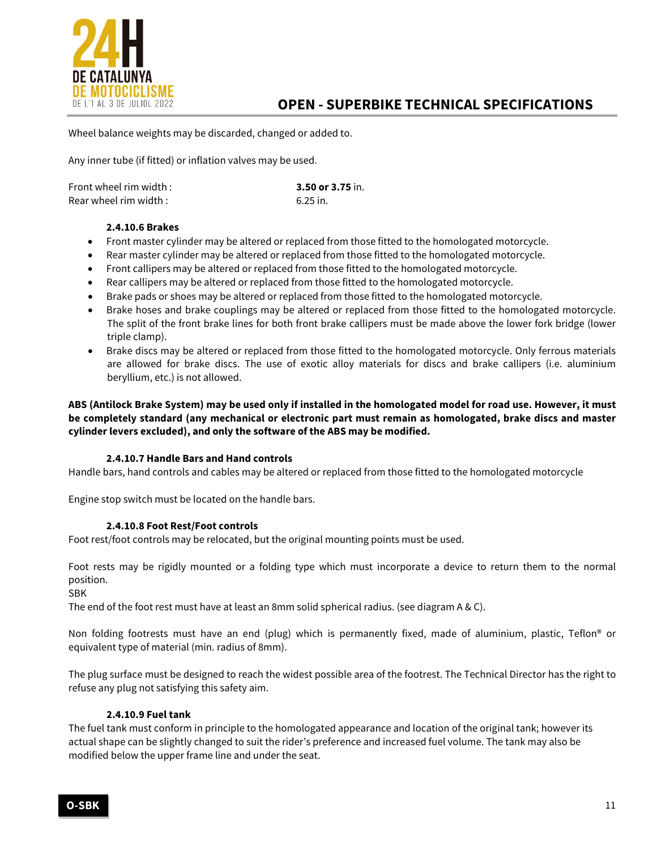

Wheel balance weights may be discarded, changed or added to.

Any inner tube (if fitted) or inflation valves may be used.

| Front wheel rim width : | 3.50 or 3.75 in. |
|-------------------------|------------------|
| Rear wheel rim width :  | 6.25 in.         |

# **2.4.10.6 Brakes**

- Front master cylinder may be altered or replaced from those fitted to the homologated motorcycle.
- Rear master cylinder may be altered or replaced from those fitted to the homologated motorcycle.
- Front callipers may be altered or replaced from those fitted to the homologated motorcycle.
- Rear callipers may be altered or replaced from those fitted to the homologated motorcycle.
- Brake pads or shoes may be altered or replaced from those fitted to the homologated motorcycle.
- Brake hoses and brake couplings may be altered or replaced from those fitted to the homologated motorcycle. The split of the front brake lines for both front brake callipers must be made above the lower fork bridge (lower triple clamp).
- Brake discs may be altered or replaced from those fitted to the homologated motorcycle. Only ferrous materials are allowed for brake discs. The use of exotic alloy materials for discs and brake callipers (i.e. aluminium beryllium, etc.) is not allowed.

**ABS (Antilock Brake System) may be used only if installed in the homologated model for road use. However, it must be completely standard (any mechanical or electronic part must remain as homologated, brake discs and master cylinder levers excluded), and only the software of the ABS may be modified.**

### **2.4.10.7 Handle Bars and Hand controls**

Handle bars, hand controls and cables may be altered or replaced from those fitted to the homologated motorcycle

Engine stop switch must be located on the handle bars.

# **2.4.10.8 Foot Rest/Foot controls**

Foot rest/foot controls may be relocated, but the original mounting points must be used.

Foot rests may be rigidly mounted or a folding type which must incorporate a device to return them to the normal position.

SBK

The end of the foot rest must have at least an 8mm solid spherical radius. (see diagram A & C).

Non folding footrests must have an end (plug) which is permanently fixed, made of aluminium, plastic, Teflon® or equivalent type of material (min. radius of 8mm).

The plug surface must be designed to reach the widest possible area of the footrest. The Technical Director has the right to refuse any plug not satisfying this safety aim.

## **2.4.10.9 Fuel tank**

The fuel tank must conform in principle to the homologated appearance and location of the original tank; however its actual shape can be slightly changed to suit the rider's preference and increased fuel volume. The tank may also be modified below the upper frame line and under the seat.

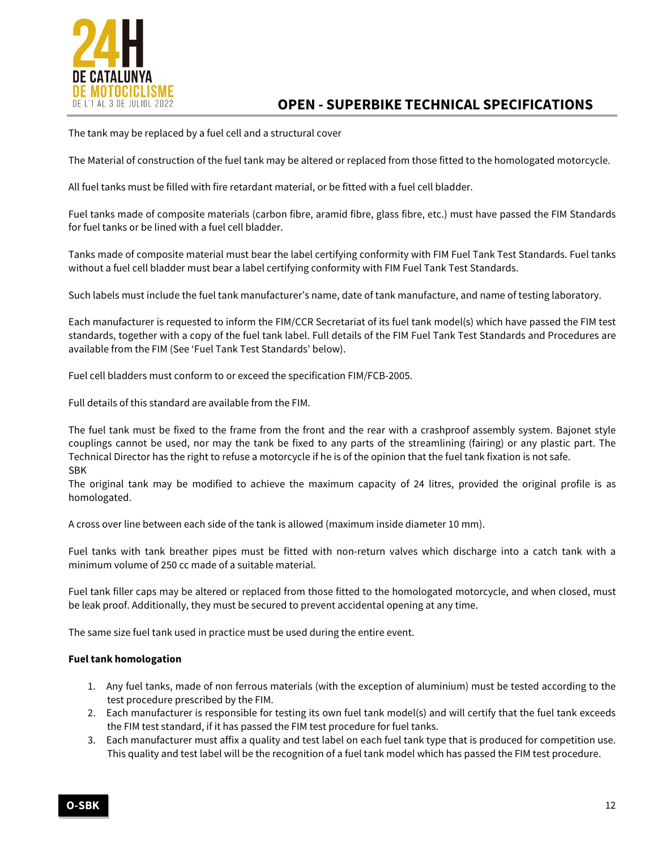

The tank may be replaced by a fuel cell and a structural cover

The Material of construction of the fuel tank may be altered or replaced from those fitted to the homologated motorcycle.

All fuel tanks must be filled with fire retardant material, or be fitted with a fuel cell bladder.

Fuel tanks made of composite materials (carbon fibre, aramid fibre, glass fibre, etc.) must have passed the FIM Standards for fuel tanks or be lined with a fuel cell bladder.

Tanks made of composite material must bear the label certifying conformity with FIM Fuel Tank Test Standards. Fuel tanks without a fuel cell bladder must bear a label certifying conformity with FIM Fuel Tank Test Standards.

Such labels must include the fuel tank manufacturer's name, date of tank manufacture, and name of testing laboratory.

Each manufacturer is requested to inform the FIM/CCR Secretariat of its fuel tank model(s) which have passed the FIM test standards, together with a copy of the fuel tank label. Full details of the FIM Fuel Tank Test Standards and Procedures are available from the FIM (See 'Fuel Tank Test Standards' below).

Fuel cell bladders must conform to or exceed the specification FIM/FCB-2005.

Full details of this standard are available from the FIM.

The fuel tank must be fixed to the frame from the front and the rear with a crashproof assembly system. Bajonet style couplings cannot be used, nor may the tank be fixed to any parts of the streamlining (fairing) or any plastic part. The Technical Director has the right to refuse a motorcycle if he is of the opinion that the fuel tank fixation is not safe. SBK

The original tank may be modified to achieve the maximum capacity of 24 litres, provided the original profile is as homologated.

A cross over line between each side of the tank is allowed (maximum inside diameter 10 mm).

Fuel tanks with tank breather pipes must be fitted with non-return valves which discharge into a catch tank with a minimum volume of 250 cc made of a suitable material.

Fuel tank filler caps may be altered or replaced from those fitted to the homologated motorcycle, and when closed, must be leak proof. Additionally, they must be secured to prevent accidental opening at any time.

The same size fuel tank used in practice must be used during the entire event.

### **Fuel tank homologation**

- 1. Any fuel tanks, made of non ferrous materials (with the exception of aluminium) must be tested according to the test procedure prescribed by the FIM.
- 2. Each manufacturer is responsible for testing its own fuel tank model(s) and will certify that the fuel tank exceeds the FIM test standard, if it has passed the FIM test procedure for fuel tanks.
- 3. Each manufacturer must affix a quality and test label on each fuel tank type that is produced for competition use. This quality and test label will be the recognition of a fuel tank model which has passed the FIM test procedure.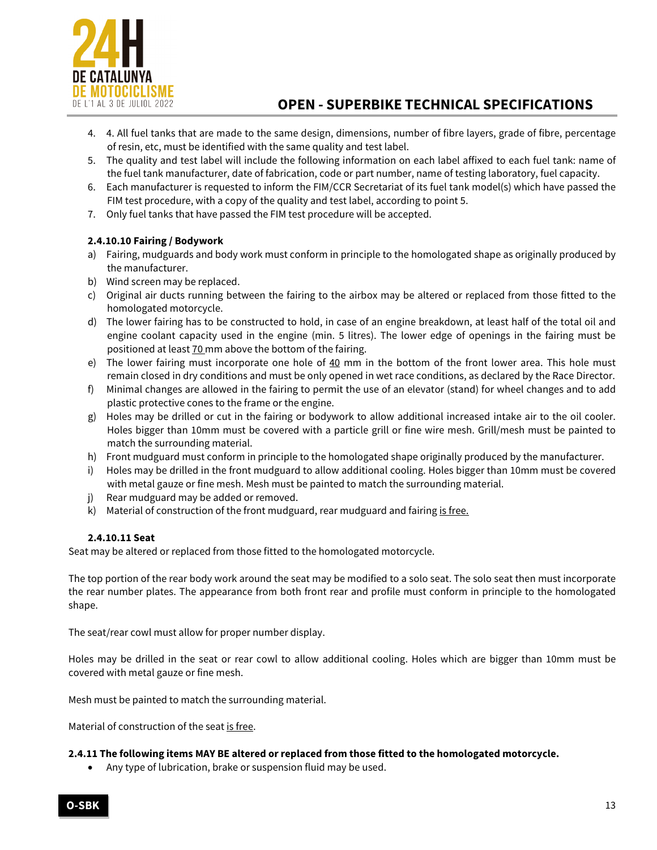

- 4. 4. All fuel tanks that are made to the same design, dimensions, number of fibre layers, grade of fibre, percentage of resin, etc, must be identified with the same quality and test label.
- 5. The quality and test label will include the following information on each label affixed to each fuel tank: name of the fuel tank manufacturer, date of fabrication, code or part number, name of testing laboratory, fuel capacity.
- 6. Each manufacturer is requested to inform the FIM/CCR Secretariat of its fuel tank model(s) which have passed the FIM test procedure, with a copy of the quality and test label, according to point 5.
- 7. Only fuel tanks that have passed the FIM test procedure will be accepted.

# **2.4.10.10 Fairing / Bodywork**

- a) Fairing, mudguards and body work must conform in principle to the homologated shape as originally produced by the manufacturer.
- b) Wind screen may be replaced.
- c) Original air ducts running between the fairing to the airbox may be altered or replaced from those fitted to the homologated motorcycle.
- d) The lower fairing has to be constructed to hold, in case of an engine breakdown, at least half of the total oil and engine coolant capacity used in the engine (min. 5 litres). The lower edge of openings in the fairing must be positioned at least 70 mm above the bottom of the fairing.
- e) The lower fairing must incorporate one hole of  $40 \text{ mm}$  in the bottom of the front lower area. This hole must remain closed in dry conditions and must be only opened in wet race conditions, as declared by the Race Director.
- f) Minimal changes are allowed in the fairing to permit the use of an elevator (stand) for wheel changes and to add plastic protective cones to the frame or the engine.
- g) Holes may be drilled or cut in the fairing or bodywork to allow additional increased intake air to the oil cooler. Holes bigger than 10mm must be covered with a particle grill or fine wire mesh. Grill/mesh must be painted to match the surrounding material.
- h) Front mudguard must conform in principle to the homologated shape originally produced by the manufacturer.
- i) Holes may be drilled in the front mudguard to allow additional cooling. Holes bigger than 10mm must be covered with metal gauze or fine mesh. Mesh must be painted to match the surrounding material.
- j) Rear mudguard may be added or removed.
- k) Material of construction of the front mudguard, rear mudguard and fairing is free.

# **2.4.10.11 Seat**

Seat may be altered or replaced from those fitted to the homologated motorcycle.

The top portion of the rear body work around the seat may be modified to a solo seat. The solo seat then must incorporate the rear number plates. The appearance from both front rear and profile must conform in principle to the homologated shape.

The seat/rear cowl must allow for proper number display.

Holes may be drilled in the seat or rear cowl to allow additional cooling. Holes which are bigger than 10mm must be covered with metal gauze or fine mesh.

Mesh must be painted to match the surrounding material.

Material of construction of the seat is free.

### **2.4.11 The following items MAY BE altered or replaced from those fitted to the homologated motorcycle.**

• Any type of lubrication, brake or suspension fluid may be used.